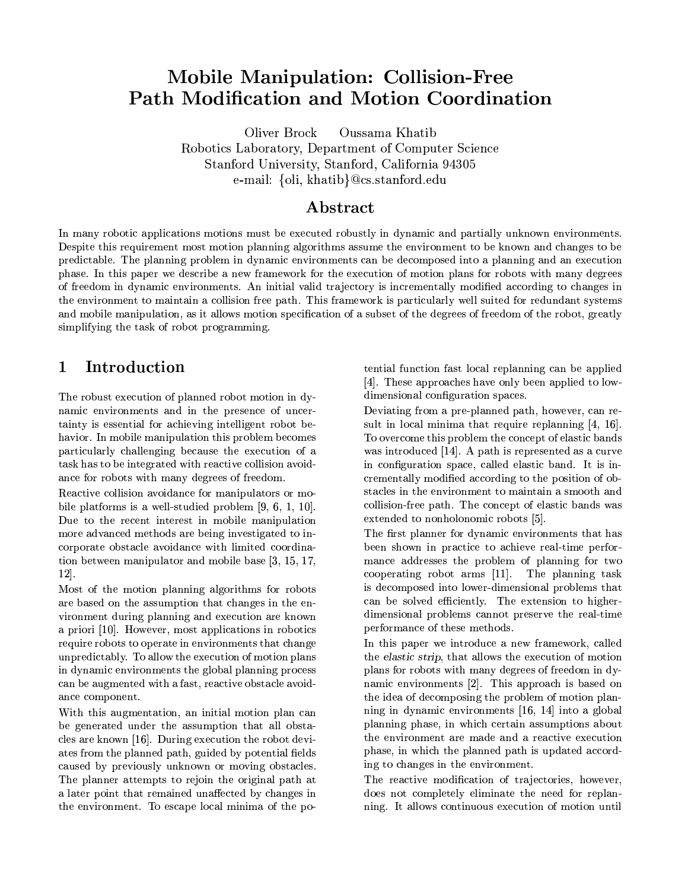# **Mobile Manipulation: Collision-Free Path Modification and Motion Coordination**

Oliver Brock Oussama Khatib Robotics Laboratory, Department of Computer Science Stanford University, Stanford, California 94305 e-mail: {oli, khatib}@cs.stanford.edu

## ${\bf Abstract}$

In many robotic applications motions must be executed robustly in dynamic and partially unknown environments. Despite this requirement most motion planning algorithms assume the environment to be known and changes to be predictable. The planning problem in dynamic environments can be decomposed into a planning and an execution phase. In this paper we describe a new framework for the execution of motion plans for robots with many degrees of freedom in dynamic environments. An initial valid trajectory is incrementally modified according to changes in the environment to maintain a collision free path. This framework is particularly well suited for redundant systems and mobile manipulation, as it allows motion specification of a subset of the degrees of freedom of the robot, greatly simplifying the task of robot programming.

#### Introduction  $\mathbf{1}$

The robust execution of planned robot motion in dynamic environments and in the presence of uncertainty is essential for achieving intelligent robot behavior. In mobile manipulation this problem becomes particularly challenging because the execution of a task has to be integrated with reactive collision avoidance for robots with many degrees of freedom.

Reactive collision avoidance for manipulators or mobile platforms is a well-studied problem  $[9, 6, 1, 10]$ . Due to the recent interest in mobile manipulation more advanced methods are being investigated to incorporate obstacle avoidance with limited coordination between manipulator and mobile base [3, 15, 17,  $12$ .

Most of the motion planning algorithms for robots are based on the assumption that changes in the environment during planning and execution are known a priori [10]. However, most applications in robotics require robots to operate in environments that change unpredictably. To allow the execution of motion plans in dynamic environments the global planning process can be augmented with a fast, reactive obstacle avoidance component.

With this augmentation, an initial motion plan can be generated under the assumption that all obstacles are known [16]. During execution the robot deviates from the planned path, guided by potential fields caused by previously unknown or moving obstacles. The planner attempts to rejoin the original path at a later point that remained unaffected by changes in the environment. To escape local minima of the potential function fast local replanning can be applied [4]. These approaches have only been applied to lowdimensional configuration spaces.

Deviating from a pre-planned path, however, can result in local minima that require replanning [4, 16]. To overcome this problem the concept of elastic bands was introduced [14]. A path is represented as a curve in configuration space, called elastic band. It is incrementally modified according to the position of obstacles in the environment to maintain a smooth and collision-free path. The concept of elastic bands was extended to nonholonomic robots [5].

The first planner for dynamic environments that has been shown in practice to achieve real-time performance addresses the problem of planning for two cooperating robot arms  $[11]$ . The planning task is decomposed into lower-dimensional problems that can be solved efficiently. The extension to higherdimensional problems cannot preserve the real-time performance of these methods.

In this paper we introduce a new framework, called the elastic strip, that allows the execution of motion plans for robots with many degrees of freedom in dynamic environments [2]. This approach is based on the idea of decomposing the problem of motion planning in dynamic environments [16, 14] into a global planning phase, in which certain assumptions about the environment are made and a reactive execution phase, in which the planned path is updated according to changes in the environment.

The reactive modification of trajectories, however, does not completely eliminate the need for replanning. It allows continuous execution of motion until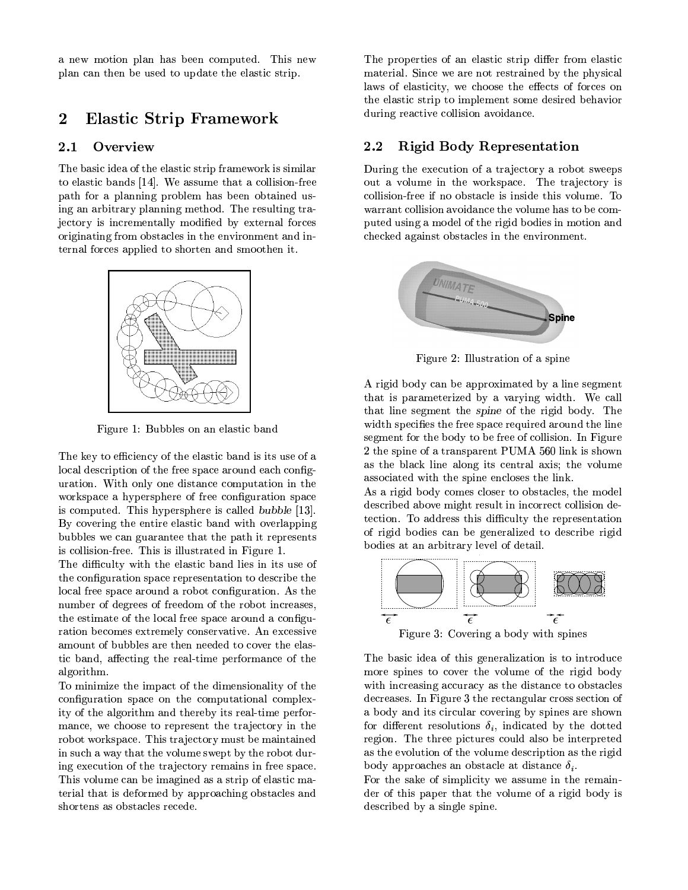a new motion plan has been computed. This new plan can then be used to update the elastic strip.

#### $\overline{2}$ **Elastic Strip Framework**

#### $2.1$ Overview

The basic idea of the elastic strip framework is similar to elastic bands [14]. We assume that a collision-free path for a planning problem has been obtained using an arbitrary planning method. The resulting trajectory is incrementally modified by external forces originating from obstacles in the environment and internal forces applied to shorten and smoothen it.



Figure 1: Bubbles on an elastic band

The key to efficiency of the elastic band is its use of a local description of the free space around each configuration. With only one distance computation in the workspace a hypersphere of free configuration space is computed. This hypersphere is called bubble [13]. By covering the entire elastic band with overlapping bubbles we can guarantee that the path it represents is collision-free. This is illustrated in Figure 1.

The difficulty with the elastic band lies in its use of the configuration space representation to describe the local free space around a robot configuration. As the number of degrees of freedom of the robot increases, the estimate of the local free space around a configuration becomes extremely conservative. An excessive amount of bubbles are then needed to cover the elastic band, affecting the real-time performance of the algorithm.

To minimize the impact of the dimensionality of the configuration space on the computational complexity of the algorithm and thereby its real-time performance, we choose to represent the trajectory in the robot workspace. This trajectory must be maintained in such a way that the volume swept by the robot during execution of the trajectory remains in free space. This volume can be imagined as a strip of elastic material that is deformed by approaching obstacles and shortens as obstacles recede.

The properties of an elastic strip differ from elastic material. Since we are not restrained by the physical laws of elasticity, we choose the effects of forces on the elastic strip to implement some desired behavior during reactive collision avoidance.

#### $2.2$ **Rigid Body Representation**

During the execution of a trajectory a robot sweeps out a volume in the workspace. The trajectory is collision-free if no obstacle is inside this volume. To warrant collision avoidance the volume has to be computed using a model of the rigid bodies in motion and checked against obstacles in the environment.



Figure 2: Illustration of a spine

A rigid body can be approximated by a line segment that is parameterized by a varying width. We call that line segment the *spine* of the rigid body. The width specifies the free space required around the line segment for the body to be free of collision. In Figure 2 the spine of a transparent PUMA 560 link is shown as the black line along its central axis; the volume associated with the spine encloses the link.

As a rigid body comes closer to obstacles, the model described above might result in incorrect collision detection. To address this difficulty the representation of rigid bodies can be generalized to describe rigid bodies at an arbitrary level of detail.



Figure 3: Covering a body with spines

The basic idea of this generalization is to introduce more spines to cover the volume of the rigid body with increasing accuracy as the distance to obstacles decreases. In Figure 3 the rectangular cross section of a body and its circular covering by spines are shown for different resolutions  $\delta_i$ , indicated by the dotted region. The three pictures could also be interpreted as the evolution of the volume description as the rigid body approaches an obstacle at distance  $\delta_i$ .

For the sake of simplicity we assume in the remainder of this paper that the volume of a rigid body is described by a single spine.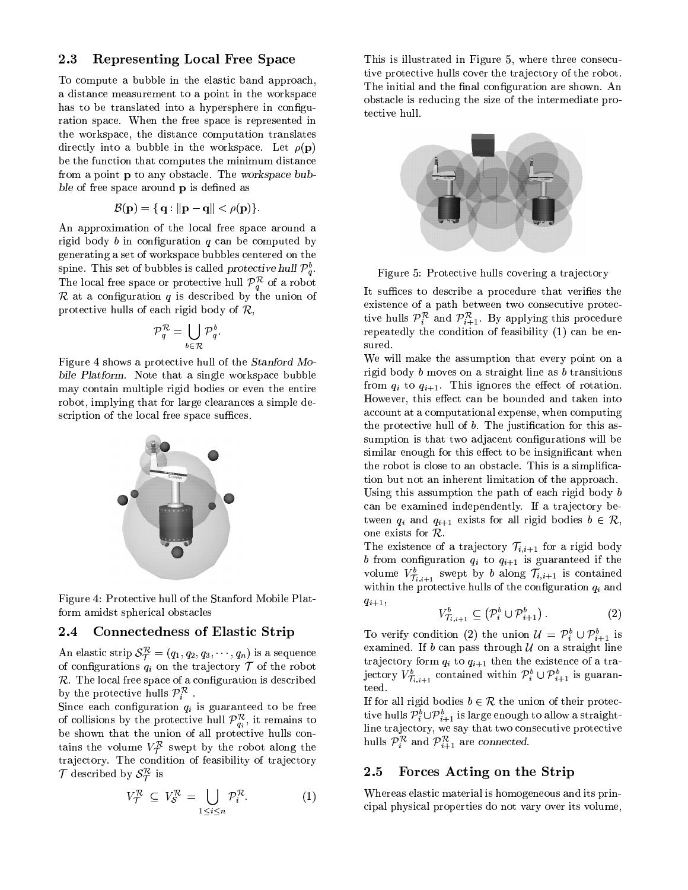#### **Representing Local Free Space** 2.3

To compute a bubble in the elastic band approach, a distance measurement to a point in the workspace has to be translated into a hypersphere in configuration space. When the free space is represented in the workspace, the distance computation translates directly into a bubble in the workspace. Let  $\rho(\mathbf{p})$ be the function that computes the minimum distance from a point **p** to any obstacle. The workspace bubble of free space around **p** is defined as

$$
\mathcal{B}(\mathbf{p}) = \{ \mathbf{q} : ||\mathbf{p} - \mathbf{q}|| < \rho(\mathbf{p}) \}.
$$

An approximation of the local free space around a rigid body  $b$  in configuration  $q$  can be computed by generating a set of workspace bubbles centered on the spine. This set of bubbles is called protective hull  $\mathcal{P}_q^b$ . The local free space or protective hull  $\mathcal{P}_q^{\mathcal{R}}$  of a robot  $R$  at a configuration  $q$  is described by the union of protective hulls of each rigid body of  $\mathcal{R}$ ,

$$
\mathcal{P}_q^{\mathcal{R}} = \bigcup_{b \in \mathcal{R}} \mathcal{P}_q^b.
$$

Figure 4 shows a protective hull of the Stanford Mobile Platform. Note that a single workspace bubble may contain multiple rigid bodies or even the entire robot, implying that for large clearances a simple description of the local free space suffices.



Figure 4: Protective hull of the Stanford Mobile Platform amidst spherical obstacles

#### 2.4 **Connectedness of Elastic Strip**

An elastic strip  $S_{\mathcal{T}}^{\mathcal{R}} = (q_1, q_2, q_3, \cdots, q_n)$  is a sequence of configurations  $q_i$  on the trajectory  $\mathcal T$  of the robot  $\mathcal{R}$ . The local free space of a configuration is described by the protective hulls  $\mathcal{P}_i^{\mathcal{R}}$ .

Since each configuration  $q_i$  is guaranteed to be free of collisions by the protective hull  $\mathcal{P}_{q_i}^{\mathcal{R}}$ , it remains to be shown that the union of all protective hulls contains the volume  $V^{\mathcal{R}}_{\mathcal{T}}$  swept by the robot along the trajectory. The condition of feasibility of trajectory  $\mathcal T$  described by  $\mathcal S^{\mathcal R}_{\mathcal T}$  is

$$
V_{\mathcal{T}}^{\mathcal{R}} \subseteq V_{\mathcal{S}}^{\mathcal{R}} = \bigcup_{1 \leq i \leq n} \mathcal{P}_{i}^{\mathcal{R}}.
$$
 (1)

This is illustrated in Figure 5, where three consecutive protective hulls cover the trajectory of the robot. The initial and the final configuration are shown. An obstacle is reducing the size of the intermediate protective hull.



Figure 5: Protective hulls covering a trajectory

It suffices to describe a procedure that verifies the existence of a path between two consecutive protective hulls  $\mathcal{P}_i^{\mathcal{R}}$  and  $\mathcal{P}_{i+1}^{\mathcal{R}}$ . By applying this procedure repeatedly the condition of feasibility  $(1)$  can be ensured.

We will make the assumption that every point on a rigid body  $b$  moves on a straight line as  $b$  transitions from  $q_i$  to  $q_{i+1}$ . This ignores the effect of rotation. However, this effect can be bounded and taken into account at a computational expense, when computing the protective hull of b. The justification for this assumption is that two adiacent configurations will be similar enough for this effect to be insignificant when the robot is close to an obstacle. This is a simplification but not an inherent limitation of the approach. Using this assumption the path of each rigid body  $b$ 

can be examined independently. If a trajectory between  $q_i$  and  $q_{i+1}$  exists for all rigid bodies  $b \in \mathcal{R}$ , one exists for  $R$ .

The existence of a trajectory  $\mathcal{T}_{i,i+1}$  for a rigid body b from configuration  $q_i$  to  $q_{i+1}$  is guaranteed if the volume  $V_{\tau_{i,i+1}}^b$  swept by b along  $\mathcal{T}_{i,i+1}$  is contained within the protective hulls of the configuration  $q_i$  and  $q_{i+1},$ 

$$
V_{\mathcal{T}_{i,i+1}}^b \subseteq \left(\mathcal{P}_i^b \cup \mathcal{P}_{i+1}^b\right). \tag{2}
$$

To verify condition (2) the union  $\mathcal{U} = \mathcal{P}_i^b \cup \mathcal{P}_{i+1}^b$  is examined. If  $b$  can pass through  $U$  on a straight line trajectory form  $q_i$  to  $q_{i+1}$  then the existence of a trajectory  $V_{\tau_{i,i+1}}^b$  contained within  $\mathcal{P}_i^b \cup \mathcal{P}_{i+1}^b$  is guaranteed.

If for all rigid bodies  $b \in \mathcal{R}$  the union of their protective hulls  $\mathcal{P}_{i}^{b}\cup\mathcal{P}_{i+1}^{b}$  is large enough to allow a straightline trajectory, we say that two consecutive protective hulls  $\mathcal{P}_i^{\mathcal{R}}$  and  $\mathcal{P}_{i+1}^{\mathcal{R}}$  are connected.

#### Forces Acting on the Strip 2.5

Whereas elastic material is homogeneous and its principal physical properties do not vary over its volume.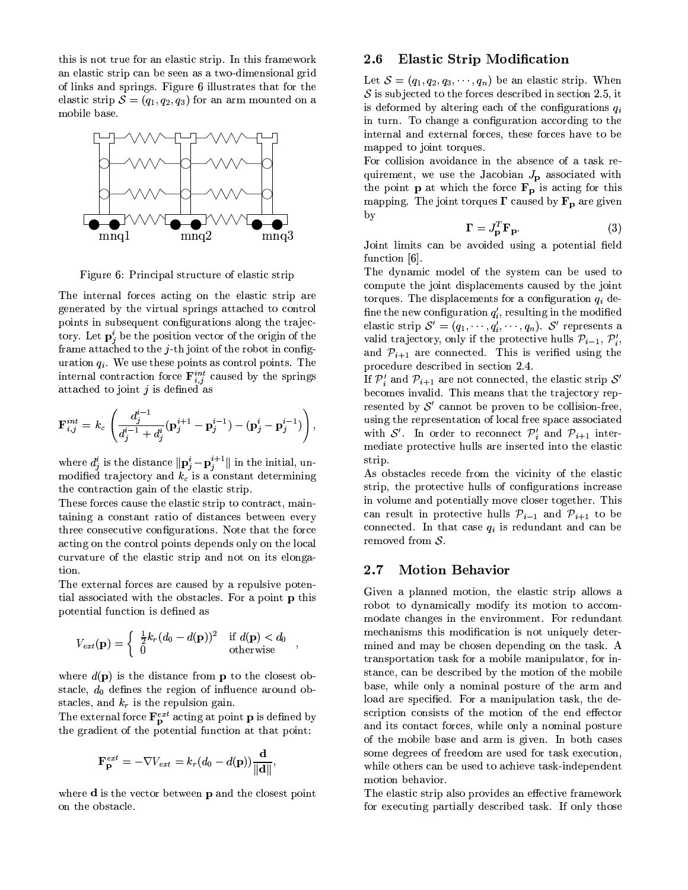this is not true for an elastic strip. In this framework an elastic strip can be seen as a two-dimensional grid of links and springs. Figure 6 illustrates that for the elastic strip  $S = (q_1, q_2, q_3)$  for an arm mounted on a mobile base.



Figure 6: Principal structure of elastic strip

The internal forces acting on the elastic strip are generated by the virtual springs attached to control points in subsequent configurations along the trajectory. Let  $\mathbf{p}_i^i$  be the position vector of the origin of the frame attached to the  $j$ -th joint of the robot in configuration  $q_i$ . We use these points as control points. The internal contraction force  $\mathbf{F}_{i,j}^{int}$  caused by the springs attached to joint j is defined as

$$
\mathbf{F}_{i,j}^{int} = k_c \left( \frac{d_j^{i-1}}{d_j^{i-1} + d_j^{i}} (\mathbf{p}_j^{i+1} - \mathbf{p}_j^{i-1}) - (\mathbf{p}_j^{i} - \mathbf{p}_j^{i-1}) \right)
$$

where  $d_j^i$  is the distance  $\|\mathbf{p}_j^i - \mathbf{p}_j^{i+1}\|$  in the initial, un-<br>modified trajectory and  $k_c$  is a constant determining the contraction gain of the elastic strip.

These forces cause the elastic strip to contract, maintaining a constant ratio of distances between every three consecutive configurations. Note that the force acting on the control points depends only on the local curvature of the elastic strip and not on its elongation.

The external forces are caused by a repulsive potential associated with the obstacles. For a point **p** this potential function is defined as

$$
V_{ext}(\mathbf{p}) = \begin{cases} \frac{1}{2}k_r(d_0 - d(\mathbf{p}))^2 & \text{if } d(\mathbf{p}) < d_0\\ 0 & \text{otherwise} \end{cases}
$$

where  $d(\mathbf{p})$  is the distance from **p** to the closest obstacle,  $d_0$  defines the region of influence around obstacles, and  $k_r$  is the repulsion gain.

The external force  $\mathbf{F}_{\mathbf{p}}^{ext}$  acting at point **p** is defined by the gradient of the potential function at that point:

$$
\mathbf{F}_{\mathbf{p}}^{ext} = -\nabla V_{ext} = k_r (d_0 - d(\mathbf{p})) \frac{\mathbf{d}}{\|\mathbf{d}\|}
$$

where  $\mathbf d$  is the vector between  $\mathbf p$  and the closest point on the obstacle.

#### **Elastic Strip Modification** 2.6

Let  $S = (q_1, q_2, q_3, \dots, q_n)$  be an elastic strip. When S is subjected to the forces described in section 2.5, it is deformed by altering each of the configurations  $q_i$ in turn. To change a configuration according to the internal and external forces, these forces have to be mapped to joint torques.

For collision avoidance in the absence of a task requirement, we use the Jacobian  $J_{\mathbf{p}}$  associated with the point **p** at which the force  $\mathbf{F}_{\mathbf{p}}$  is acting for this mapping. The joint torques  $\Gamma$  caused by  $\mathbf{F}_{\mathbf{p}}$  are given by

$$
\mathbf{\Gamma} = J_{\mathbf{p}}^T \mathbf{F}_{\mathbf{p}}.\tag{3}
$$

Joint limits can be avoided using a potential field function [6].

The dynamic model of the system can be used to compute the joint displacements caused by the joint torques. The displacements for a configuration  $q_i$  define the new configuration  $q_i'$ , resulting in the modified elastic strip  $S' = (q_1, \dots, q'_i, \dots, q_n)$ . S' represents a valid trajectory, only if the protective hulls  $\mathcal{P}_{i-1}, \mathcal{P}'_i$ , and  $\mathcal{P}_{i+1}$  are connected. This is verified using the procedure described in section 2.4.

If  $\mathcal{P}'_i$  and  $\mathcal{P}_{i+1}$  are not connected, the elastic strip  $\mathcal{S}'$ becomes invalid. This means that the trajectory represented by  $\mathcal{S}'$  cannot be proven to be collision-free. using the representation of local free space associated with S'. In order to reconnect  $\mathcal{P}'_i$  and  $\mathcal{P}_{i+1}$  intermediate protective hulls are inserted into the elastic strip.

As obstacles recede from the vicinity of the elastic strip, the protective hulls of configurations increase in volume and potentially move closer together. This can result in protective hulls  $P_{i-1}$  and  $P_{i+1}$  to be connected. In that case  $q_i$  is redundant and can be removed from  $S$ .

#### $2.7$ **Motion Behavior**

Given a planned motion, the elastic strip allows a robot to dynamically modify its motion to accommodate changes in the environment. For redundant mechanisms this modification is not uniquely determined and may be chosen depending on the task. A transportation task for a mobile manipulator, for instance, can be described by the motion of the mobile base, while only a nominal posture of the arm and load are specified. For a manipulation task, the description consists of the motion of the end effector and its contact forces, while only a nominal posture of the mobile base and arm is given. In both cases some degrees of freedom are used for task execution, while others can be used to achieve task-independent motion behavior.

The elastic strip also provides an effective framework for executing partially described task. If only those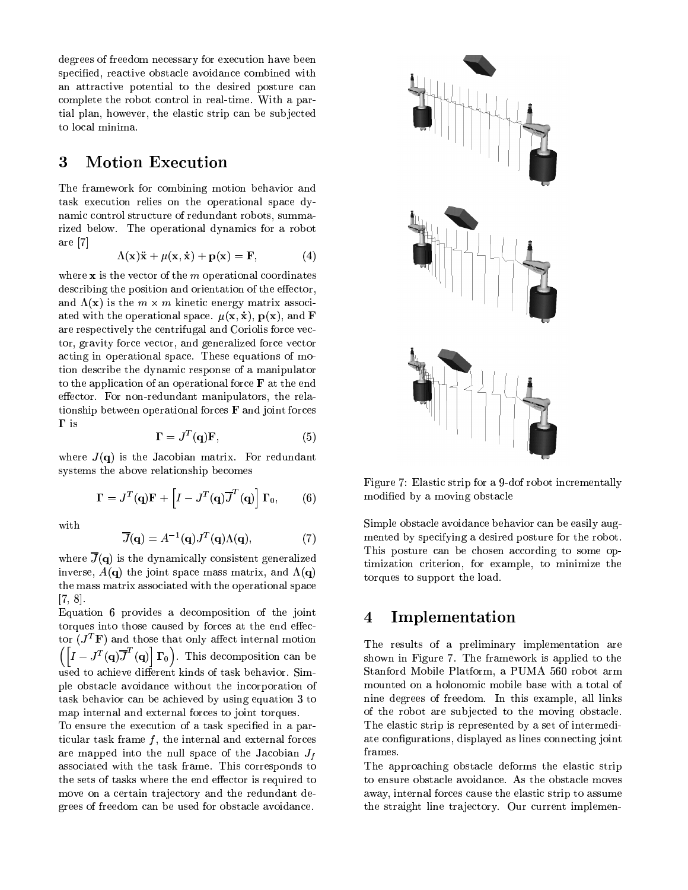degrees of freedom necessary for execution have been specified, reactive obstacle avoidance combined with an attractive potential to the desired posture can complete the robot control in real-time. With a partial plan, however, the elastic strip can be subjected to local minima.

#### 3 **Motion Execution**

The framework for combining motion behavior and task execution relies on the operational space dynamic control structure of redundant robots, summarized below. The operational dynamics for a robot are  $[7]$ 

$$
\Lambda(\mathbf{x})\ddot{\mathbf{x}} + \mu(\mathbf{x}, \dot{\mathbf{x}}) + \mathbf{p}(\mathbf{x}) = \mathbf{F},
$$
 (4)

where  $x$  is the vector of the  $m$  operational coordinates describing the position and orientation of the effector, and  $\Lambda(\mathbf{x})$  is the  $m \times m$  kinetic energy matrix associated with the operational space.  $\mu(\mathbf{x}, \dot{\mathbf{x}})$ ,  $\mathbf{p}(\mathbf{x})$ , and **F** are respectively the centrifugal and Coriolis force vector, gravity force vector, and generalized force vector acting in operational space. These equations of motion describe the dynamic response of a manipulator to the application of an operational force  $\bf{F}$  at the end effector. For non-redundant manipulators, the relationship between operational forces  $\bf{F}$  and joint forces  $\Gamma$  is

$$
\mathbf{\Gamma} = J^T(\mathbf{q})\mathbf{F},\tag{5}
$$

where  $J(q)$  is the Jacobian matrix. For redundant systems the above relationship becomes

$$
\mathbf{\Gamma} = J^T(\mathbf{q})\mathbf{F} + \left[ I - J^T(\mathbf{q})\overline{J}^T(\mathbf{q}) \right] \mathbf{\Gamma}_0, \qquad (6)
$$

with

$$
\overline{J}(\mathbf{q}) = A^{-1}(\mathbf{q})J^T(\mathbf{q})\Lambda(\mathbf{q}),\tag{7}
$$

where  $\overline{J}(\mathbf{q})$  is the dynamically consistent generalized inverse,  $A(\mathbf{q})$  the joint space mass matrix, and  $\Lambda(\mathbf{q})$ the mass matrix associated with the operational space  $[7, 8].$ 

Equation 6 provides a decomposition of the joint torques into those caused by forces at the end effector  $(J^T\mathbf{F})$  and those that only affect internal motion  $\left(\left[I-J^{T}(\mathbf{q})\overline{J}^{T}(\mathbf{q})\right]\Gamma_{0}\right)$ . This decomposition can be used to achieve different kinds of task behavior. Simple obstacle avoidance without the incorporation of task behavior can be achieved by using equation 3 to map internal and external forces to joint torques.

To ensure the execution of a task specified in a particular task frame  $f$ , the internal and external forces are mapped into the null space of the Jacobian  $J_f$ associated with the task frame. This corresponds to the sets of tasks where the end effector is required to move on a certain trajectory and the redundant degrees of freedom can be used for obstacle avoidance.



Figure 7: Elastic strip for a 9-dof robot incrementally modified by a moving obstacle

Simple obstacle avoidance behavior can be easily augmented by specifying a desired posture for the robot. This posture can be chosen according to some optimization criterion, for example, to minimize the torques to support the load.

#### $\overline{\mathbf{4}}$ Implementation

The results of a preliminary implementation are shown in Figure 7. The framework is applied to the Stanford Mobile Platform, a PUMA 560 robot arm mounted on a holonomic mobile base with a total of nine degrees of freedom. In this example, all links of the robot are subjected to the moving obstacle. The elastic strip is represented by a set of intermediate configurations, displayed as lines connecting joint frames.

The approaching obstacle deforms the elastic strip to ensure obstacle avoidance. As the obstacle moves away, internal forces cause the elastic strip to assume the straight line trajectory. Our current implemen